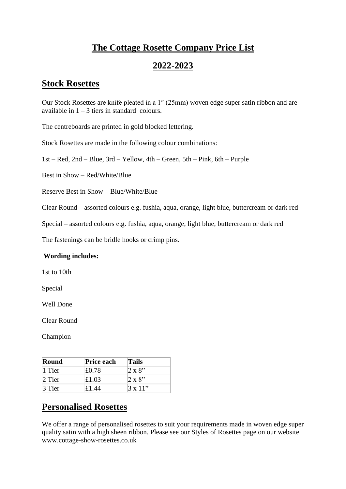# **The Cottage Rosette Company Price List**

### **2022-2023**

### **Stock Rosettes**

Our Stock Rosettes are knife pleated in a 1″ (25mm) woven edge super satin ribbon and are available in  $1 - 3$  tiers in standard colours.

The centreboards are printed in gold blocked lettering.

Stock Rosettes are made in the following colour combinations:

1st – Red, 2nd – Blue, 3rd – Yellow, 4th – Green, 5th – Pink, 6th – Purple

Best in Show – Red/White/Blue

Reserve Best in Show – Blue/White/Blue

Clear Round – assorted colours e.g. fushia, aqua, orange, light blue, buttercream or dark red

Special – assorted colours e.g. fushia, aqua, orange, light blue, buttercream or dark red

The fastenings can be bridle hooks or crimp pins.

#### **Wording includes:**

1st to 10th

Special

Well Done

Clear Round

Champion

| Round            | <b>Price each</b> | <b>Tails</b>    |
|------------------|-------------------|-----------------|
| $\parallel$ Tier | £0.78             | $2 \times 8$ "  |
| $2$ Tier         | £1.03             | $2 \times 8$ "  |
| 3 Tier           | £1.44             | $3 \times 11$ " |

## **Personalised Rosettes**

We offer a range of personalised rosettes to suit your requirements made in woven edge super quality satin with a high sheen ribbon. Please see our Styles of Rosettes page on our website www.cottage-show-rosettes.co.uk